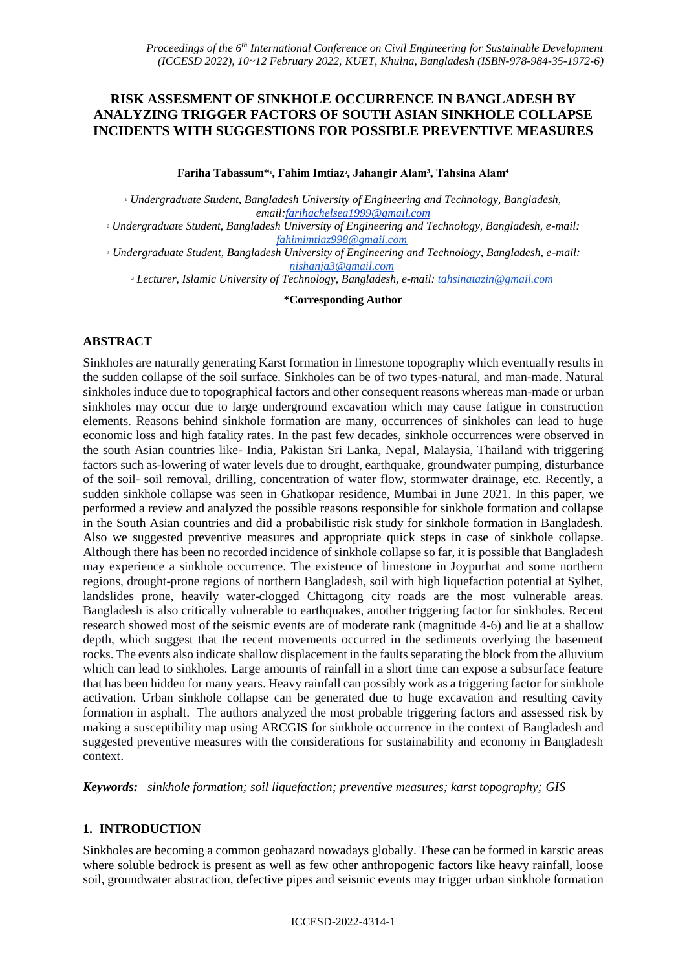# **RISK ASSESMENT OF SINKHOLE OCCURRENCE IN BANGLADESH BY ANALYZING TRIGGER FACTORS OF SOUTH ASIAN SINKHOLE COLLAPSE INCIDENTS WITH SUGGESTIONS FOR POSSIBLE PREVENTIVE MEASURES**

**Fariha Tabassum\*<sup>1</sup> , Fahim Imtiaz<sup>2</sup> , Jahangir Alam³, Tahsina Alam⁴**

<sup>1</sup> *Undergraduate Student, Bangladesh University of Engineering and Technology, Bangladesh, email:farihachelsea1999@gmail.com*

*<sup>2</sup> Undergraduate Student, Bangladesh University of Engineering and Technology, Bangladesh, e-mail: [fahimimtiaz998@gmail.com](mailto:fahimimtiaz998@gmail.com)*

*<sup>3</sup> Undergraduate Student, Bangladesh University of Engineering and Technology, Bangladesh, e-mail: [nishanja3@gmail.com](mailto:nishanja3@gmail.com)*

*<sup>4</sup> Lecturer, Islamic University of Technology, Bangladesh, e-mail[: tahsinatazin@gmail.com](mailto:tahsinatazin@gmail.com)*

**\*Corresponding Author**

## **ABSTRACT**

Sinkholes are naturally generating Karst formation in limestone topography which eventually results in the sudden collapse of the soil surface. Sinkholes can be of two types-natural, and man-made. Natural sinkholes induce due to topographical factors and other consequent reasons whereas man-made or urban sinkholes may occur due to large underground excavation which may cause fatigue in construction elements. Reasons behind sinkhole formation are many, occurrences of sinkholes can lead to huge economic loss and high fatality rates. In the past few decades, sinkhole occurrences were observed in the south Asian countries like- India, Pakistan Sri Lanka, Nepal, Malaysia, Thailand with triggering factors such as-lowering of water levels due to drought, earthquake, groundwater pumping, disturbance of the soil- soil removal, drilling, concentration of water flow, stormwater drainage, etc. Recently, a sudden sinkhole collapse was seen in Ghatkopar residence, Mumbai in June 2021. In this paper, we performed a review and analyzed the possible reasons responsible for sinkhole formation and collapse in the South Asian countries and did a probabilistic risk study for sinkhole formation in Bangladesh. Also we suggested preventive measures and appropriate quick steps in case of sinkhole collapse. Although there has been no recorded incidence of sinkhole collapse so far, it is possible that Bangladesh may experience a sinkhole occurrence. The existence of limestone in Joypurhat and some northern regions, drought-prone regions of northern Bangladesh, soil with high liquefaction potential at Sylhet, landslides prone, heavily water-clogged Chittagong city roads are the most vulnerable areas. Bangladesh is also critically vulnerable to earthquakes, another triggering factor for sinkholes. Recent research showed most of the seismic events are of moderate rank (magnitude 4-6) and lie at a shallow depth, which suggest that the recent movements occurred in the sediments overlying the basement rocks. The events also indicate shallow displacement in the faults separating the block from the alluvium which can lead to sinkholes. Large amounts of rainfall in a short time can expose a subsurface feature that has been hidden for many years. Heavy rainfall can possibly work as a triggering factor for sinkhole activation. Urban sinkhole collapse can be generated due to huge excavation and resulting cavity formation in asphalt. The authors analyzed the most probable triggering factors and assessed risk by making a susceptibility map using ARCGIS for sinkhole occurrence in the context of Bangladesh and suggested preventive measures with the considerations for sustainability and economy in Bangladesh context.

*Keywords: sinkhole formation; soil liquefaction; preventive measures; karst topography; GIS*

#### **1. INTRODUCTION**

Sinkholes are becoming a common geohazard nowadays globally. These can be formed in karstic areas where soluble bedrock is present as well as few other anthropogenic factors like heavy rainfall, loose soil, groundwater abstraction, defective pipes and seismic events may trigger urban sinkhole formation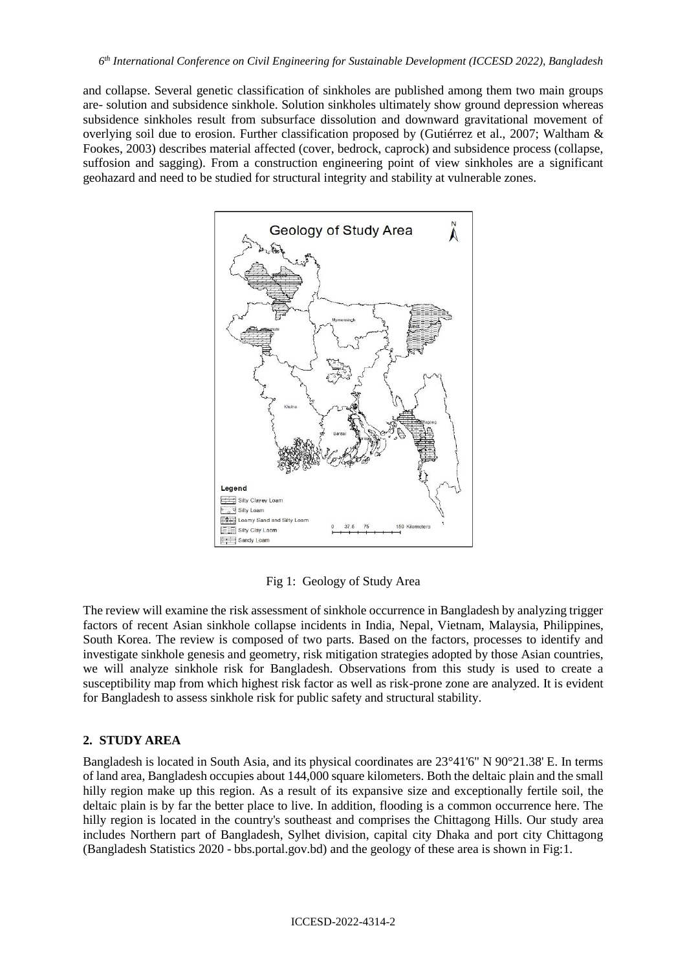and collapse. Several genetic classification of sinkholes are published among them two main groups are- solution and subsidence sinkhole. Solution sinkholes ultimately show ground depression whereas subsidence sinkholes result from subsurface dissolution and downward gravitational movement of overlying soil due to erosion. Further classification proposed by [\(Gutiérrez et al., 2007;](https://www.researchgate.net/publication/226739117_Geological_and_environmental_implications_of_evaportie_karst_in_Spain) [Waltham &](https://www.researchgate.net/publication/26448077_Engineering_classification_of_karst_ground_conditions)  [Fookes, 2003\)](https://www.researchgate.net/publication/26448077_Engineering_classification_of_karst_ground_conditions) describes material affected (cover, bedrock, caprock) and subsidence process (collapse, suffosion and sagging). From a construction engineering point of view sinkholes are a significant geohazard and need to be studied for structural integrity and stability at vulnerable zones.



Fig 1: Geology of Study Area

The review will examine the risk assessment of sinkhole occurrence in Bangladesh by analyzing trigger factors of recent Asian sinkhole collapse incidents in India, Nepal, Vietnam, Malaysia, Philippines, South Korea. The review is composed of two parts. Based on the factors, processes to identify and investigate sinkhole genesis and geometry, risk mitigation strategies adopted by those Asian countries, we will analyze sinkhole risk for Bangladesh. Observations from this study is used to create a susceptibility map from which highest risk factor as well as risk-prone zone are analyzed. It is evident for Bangladesh to assess sinkhole risk for public safety and structural stability.

#### **2. STUDY AREA**

Bangladesh is located in South Asia, and its physical coordinates are 23°41'6" N 90°21.38' E. In terms of land area, Bangladesh occupies about 144,000 square kilometers. Both the deltaic plain and the small hilly region make up this region. As a result of its expansive size and exceptionally fertile soil, the deltaic plain is by far the better place to live. In addition, flooding is a common occurrence here. The hilly region is located in the country's southeast and comprises the Chittagong Hills. Our study area includes Northern part of Bangladesh, Sylhet division, capital city Dhaka and port city Chittagong (Bangladesh Statistics 2020 - bbs.portal.gov.bd) and the geology of these area is shown in Fig:1.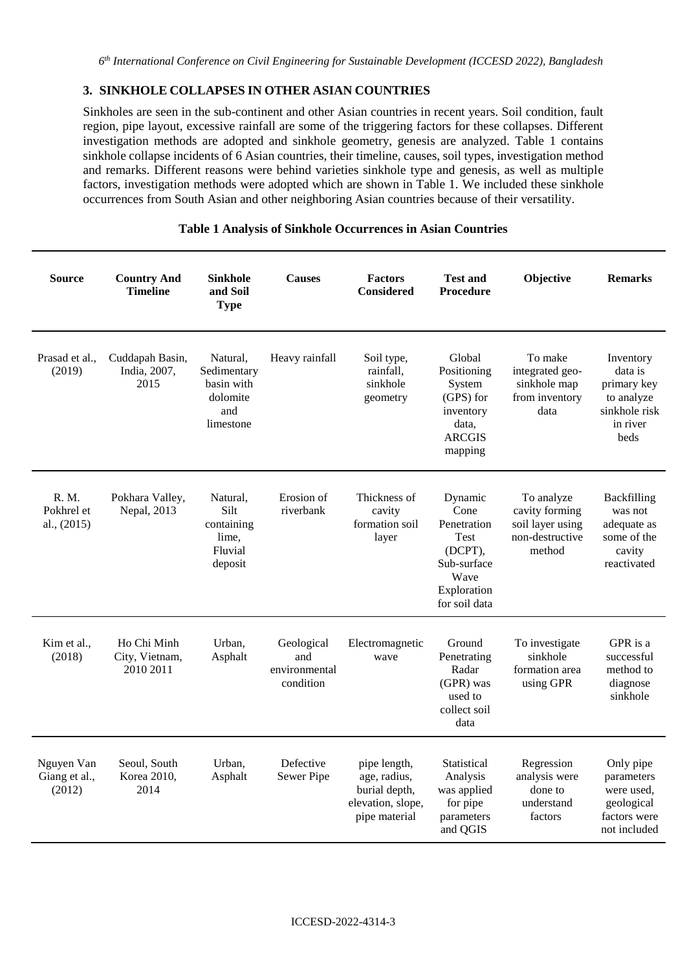## **3. SINKHOLE COLLAPSES IN OTHER ASIAN COUNTRIES**

Sinkholes are seen in the sub-continent and other Asian countries in recent years. Soil condition, fault region, pipe layout, excessive rainfall are some of the triggering factors for these collapses. Different investigation methods are adopted and sinkhole geometry, genesis are analyzed. Table 1 contains sinkhole collapse incidents of 6 Asian countries, their timeline, causes, soil types, investigation method and remarks. Different reasons were behind varieties sinkhole type and genesis, as well as multiple factors, investigation methods were adopted which are shown in Table 1. We included these sinkhole occurrences from South Asian and other neighboring Asian countries because of their versatility.

| <b>Source</b>                         | <b>Country And</b><br><b>Timeline</b>      | Sinkhole<br>and Soil<br><b>Type</b>                                   | <b>Causes</b>                                   | <b>Factors</b><br><b>Considered</b>                                                 | <b>Test and</b><br>Procedure                                                                             | Objective                                                                     | <b>Remarks</b>                                                                         |
|---------------------------------------|--------------------------------------------|-----------------------------------------------------------------------|-------------------------------------------------|-------------------------------------------------------------------------------------|----------------------------------------------------------------------------------------------------------|-------------------------------------------------------------------------------|----------------------------------------------------------------------------------------|
| Prasad et al.,<br>(2019)              | Cuddapah Basin,<br>India, 2007,<br>2015    | Natural.<br>Sedimentary<br>basin with<br>dolomite<br>and<br>limestone | Heavy rainfall                                  | Soil type,<br>rainfall.<br>sinkhole<br>geometry                                     | Global<br>Positioning<br>System<br>(GPS) for<br>inventory<br>data,<br><b>ARCGIS</b><br>mapping           | To make<br>integrated geo-<br>sinkhole map<br>from inventory<br>data          | Inventory<br>data is<br>primary key<br>to analyze<br>sinkhole risk<br>in river<br>beds |
| R. M.<br>Pokhrel et<br>al., (2015)    | Pokhara Valley,<br>Nepal, 2013             | Natural.<br>Silt<br>containing<br>lime,<br>Fluvial<br>deposit         | Erosion of<br>riverbank                         | Thickness of<br>cavity<br>formation soil<br>layer                                   | Dynamic<br>Cone<br>Penetration<br>Test<br>(DCPT),<br>Sub-surface<br>Wave<br>Exploration<br>for soil data | To analyze<br>cavity forming<br>soil layer using<br>non-destructive<br>method | Backfilling<br>was not<br>adequate as<br>some of the<br>cavity<br>reactivated          |
| Kim et al.,<br>(2018)                 | Ho Chi Minh<br>City, Vietnam,<br>2010 2011 | Urban,<br>Asphalt                                                     | Geological<br>and<br>environmental<br>condition | Electromagnetic<br>wave                                                             | Ground<br>Penetrating<br>Radar<br>(GPR) was<br>used to<br>collect soil<br>data                           | To investigate<br>sinkhole<br>formation area<br>using GPR                     | GPR is a<br>successful<br>method to<br>diagnose<br>sinkhole                            |
| Nguyen Van<br>Giang et al.,<br>(2012) | Seoul, South<br>Korea 2010,<br>2014        | Urban,<br>Asphalt                                                     | Defective<br>Sewer Pipe                         | pipe length,<br>age, radius,<br>burial depth,<br>elevation, slope,<br>pipe material | Statistical<br>Analysis<br>was applied<br>for pipe<br>parameters<br>and QGIS                             | Regression<br>analysis were<br>done to<br>understand<br>factors               | Only pipe<br>parameters<br>were used.<br>geological<br>factors were<br>not included    |

# **Table 1 Analysis of Sinkhole Occurrences in Asian Countries**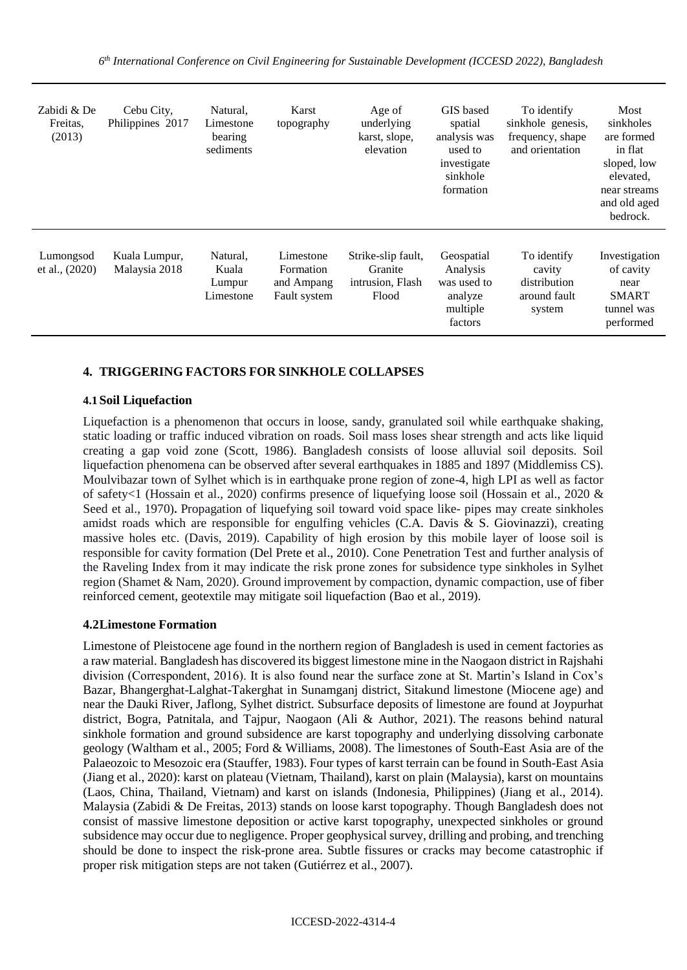| Zabidi & De<br>Freitas,<br>(2013) | Cebu City,<br>Philippines 2017 | Natural,<br>Limestone<br>bearing<br>sediments | Karst<br>topography                                  | Age of<br>underlying<br>karst, slope,<br>elevation         | GIS based<br>spatial<br>analysis was<br>used to<br>investigate<br>sinkhole<br>formation | To identify<br>sinkhole genesis,<br>frequency, shape<br>and orientation | Most<br>sinkholes<br>are formed<br>in flat<br>sloped, low<br>elevated,<br>near streams<br>and old aged<br>bedrock. |
|-----------------------------------|--------------------------------|-----------------------------------------------|------------------------------------------------------|------------------------------------------------------------|-----------------------------------------------------------------------------------------|-------------------------------------------------------------------------|--------------------------------------------------------------------------------------------------------------------|
| Lumongsod<br>et al., $(2020)$     | Kuala Lumpur,<br>Malaysia 2018 | Natural,<br>Kuala<br>Lumpur<br>Limestone      | Limestone<br>Formation<br>and Ampang<br>Fault system | Strike-slip fault,<br>Granite<br>intrusion, Flash<br>Flood | Geospatial<br>Analysis<br>was used to<br>analyze<br>multiple<br>factors                 | To identify<br>cavity<br>distribution<br>around fault<br>system         | Investigation<br>of cavity<br>near<br><b>SMART</b><br>tunnel was<br>performed                                      |

## **4. TRIGGERING FACTORS FOR SINKHOLE COLLAPSES**

#### **4.1 Soil Liquefaction**

Liquefaction is a phenomenon that occurs in loose, sandy, granulated soil while earthquake shaking, static loading or traffic induced vibration on roads. Soil mass loses shear strength and acts like liquid creating a gap void zone (Scott, 1986). Bangladesh consists of loose alluvial soil deposits. Soil liquefaction phenomena can be observed after several earthquakes in 1885 and 1897 (Middlemiss CS). Moulvibazar town of Sylhet which is in earthquake prone region of zone-4, high LPI as well as factor of safety<1 (Hossain et al., 2020) confirms presence of liquefying loose soil (Hossain et al., 2020 & Seed et al., 1970)**.** Propagation of liquefying soil toward void space like- pipes may create sinkholes amidst roads which are responsible for engulfing vehicles  $(C.A.$  Davis & S. Giovinazzi), creating massive holes etc. (Davis, 2019). Capability of high erosion by this mobile layer of loose soil is responsible for cavity formation (Del Prete et al., 2010). Cone Penetration Test and further analysis of the Raveling Index from it may indicate the risk prone zones for subsidence type sinkholes in Sylhet region (Shamet & Nam, 2020). Ground improvement by compaction, dynamic compaction, use of fiber reinforced cement, geotextile may mitigate soil liquefaction (Bao et al., 2019).

#### **4.2Limestone Formation**

Limestone of Pleistocene age found in the northern region of Bangladesh is used in cement factories as a raw material. Bangladesh has discovered its biggest limestone mine in the Naogaon district in Rajshahi division (Correspondent, 2016). It is also found near the surface zone at St. Martin's Island in Cox's Bazar, Bhangerghat-Lalghat-Takerghat in Sunamganj district, Sitakund limestone (Miocene age) and near the Dauki River, Jaflong, Sylhet district. Subsurface deposits of limestone are found at Joypurhat district, Bogra, Patnitala, and Tajpur, Naogaon (Ali & Author, 2021). The reasons behind natural sinkhole formation and ground subsidence are karst topography and underlying dissolving carbonate geology (Waltham et al., 2005; Ford & Williams, 2008). The limestones of South-East Asia are of the Palaeozoic to Mesozoic era (Stauffer, 1983). Four types of karst terrain can be found in South-East Asia (Jiang et al., 2020): karst on plateau (Vietnam, Thailand), karst on plain (Malaysia), karst on mountains (Laos, China, Thailand, Vietnam) and karst on islands (Indonesia, Philippines) (Jiang et al., 2014). Malaysia (Zabidi & De Freitas, 2013) stands on loose karst topography. Though Bangladesh does not consist of massive limestone deposition or active karst topography, unexpected sinkholes or ground subsidence may occur due to negligence. Proper geophysical survey, drilling and probing, and trenching should be done to inspect the risk-prone area. Subtle fissures or cracks may become catastrophic if proper risk mitigation steps are not taken (Gutiérrez et al., 2007).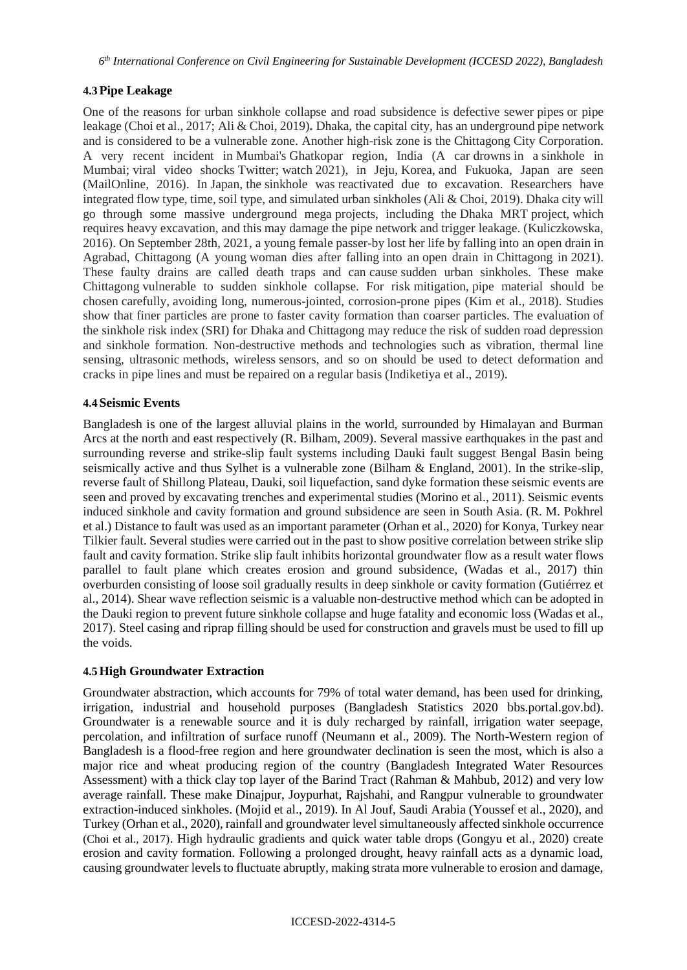## **4.3Pipe Leakage**

One of the reasons for urban sinkhole collapse and road subsidence is defective sewer pipes or pipe leakage (Choi et al., 2017; Ali & Choi, 2019)**.** Dhaka, the capital city, has an underground pipe network and is considered to be a vulnerable zone. Another high-risk zone is the Chittagong City Corporation. A very recent incident in Mumbai's Ghatkopar region, India (A car drowns in a sinkhole in Mumbai; viral video shocks Twitter; watch 2021), in Jeju, Korea, and Fukuoka, Japan are seen (MailOnline, 2016). In Japan, the sinkhole was reactivated due to excavation. Researchers have integrated flow type, time, soil type, and simulated urban sinkholes (Ali & Choi, 2019). Dhaka city will go through some massive underground mega projects, including the Dhaka MRT project, which requires heavy excavation, and this may damage the pipe network and trigger leakage. (Kuliczkowska, 2016). On September 28th, 2021, a young female passer-by lost her life by falling into an open drain in Agrabad, Chittagong (A young woman dies after falling into an open drain in Chittagong in 2021). These faulty drains are called death traps and can cause sudden urban sinkholes. These make Chittagong vulnerable to sudden sinkhole collapse. For risk mitigation, pipe material should be chosen carefully, avoiding long, numerous-jointed, corrosion-prone pipes (Kim et al., 2018). Studies show that finer particles are prone to faster cavity formation than coarser particles. The evaluation of the sinkhole risk index (SRI) for Dhaka and Chittagong may reduce the risk of sudden road depression and sinkhole formation. Non-destructive methods and technologies such as vibration, thermal line sensing, ultrasonic methods, wireless sensors, and so on should be used to detect deformation and cracks in pipe lines and must be repaired on a regular basis (Indiketiya et al., 2019).

#### **4.4 Seismic Events**

Bangladesh is one of the largest alluvial plains in the world, surrounded by Himalayan and Burman Arcs at the north and east respectively (R. Bilham, 2009). Several massive earthquakes in the past and surrounding reverse and strike-slip fault systems including Dauki fault suggest Bengal Basin being seismically active and thus Sylhet is a vulnerable zone (Bilham & England, 2001). In the strike-slip, reverse fault of Shillong Plateau, Dauki, soil liquefaction, sand dyke formation these seismic events are seen and proved by excavating trenches and experimental studies (Morino et al., 2011). Seismic events induced sinkhole and cavity formation and ground subsidence are seen in South Asia. (R. M. Pokhrel et al.) Distance to fault was used as an important parameter (Orhan et al., 2020) for Konya, Turkey near Tilkier fault. Several studies were carried out in the past to show positive correlation between strike slip fault and cavity formation. Strike slip fault inhibits horizontal groundwater flow as a result water flows parallel to fault plane which creates erosion and ground subsidence, (Wadas et al., 2017) thin overburden consisting of loose soil gradually results in deep sinkhole or cavity formation (Gutiérrez et al., 2014). Shear wave reflection seismic is a valuable non-destructive method which can be adopted in the Dauki region to prevent future sinkhole collapse and huge fatality and economic loss (Wadas et al., 2017). Steel casing and riprap filling should be used for construction and gravels must be used to fill up the voids.

#### **4.5High Groundwater Extraction**

Groundwater abstraction, which accounts for 79% of total water demand, has been used for drinking, irrigation, industrial and household purposes (Bangladesh Statistics 2020 bbs.portal.gov.bd). Groundwater is a renewable source and it is duly recharged by rainfall, irrigation water seepage, percolation, and infiltration of surface runoff (Neumann et al., 2009). The North-Western region of Bangladesh is a flood-free region and here groundwater declination is seen the most, which is also a major rice and wheat producing region of the country (Bangladesh Integrated Water Resources Assessment) with a thick clay top layer of the Barind Tract (Rahman & Mahbub, 2012) and very low average rainfall. These make Dinajpur, Joypurhat, Rajshahi, and Rangpur vulnerable to groundwater extraction-induced sinkholes. (Mojid et al., 2019). In Al Jouf, Saudi Arabia (Youssef et al., 2020), and Turkey (Orhan et al., 2020), rainfall and groundwater level simultaneously affected sinkhole occurrence (Choi et al., 2017). High hydraulic gradients and quick water table drops (Gongyu et al., 2020) create erosion and cavity formation. Following a prolonged drought, heavy rainfall acts as a dynamic load, causing groundwater levels to fluctuate abruptly, making strata more vulnerable to erosion and damage,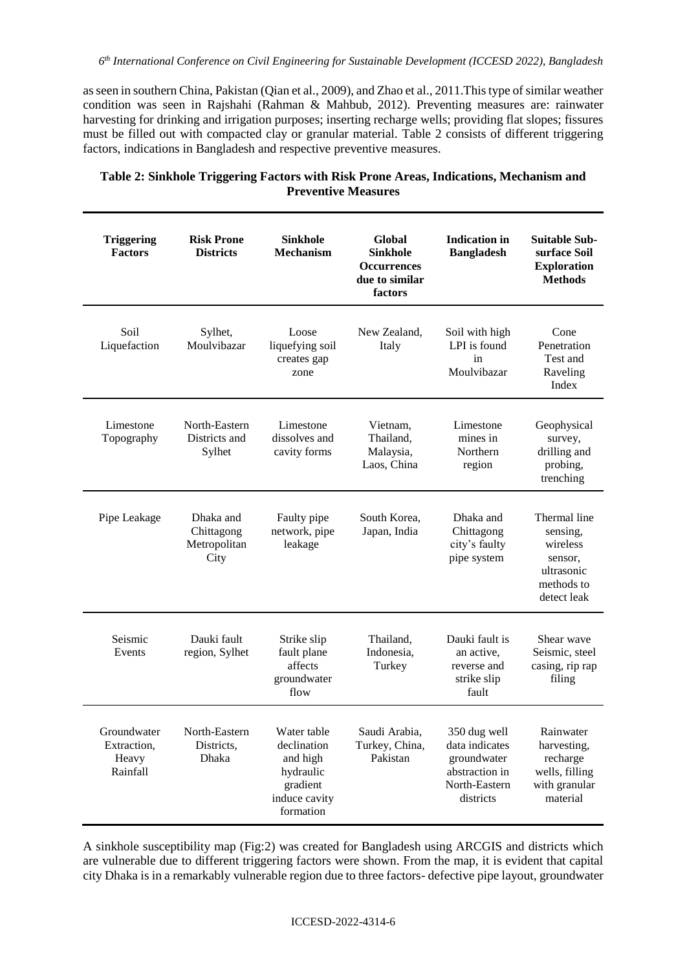as seen in southern China, Pakistan (Qian et al., 2009), and Zhao et al., 2011.This type of similar weather condition was seen in Rajshahi (Rahman & Mahbub, 2012). Preventing measures are: rainwater harvesting for drinking and irrigation purposes; inserting recharge wells; providing flat slopes; fissures must be filled out with compacted clay or granular material. Table 2 consists of different triggering factors, indications in Bangladesh and respective preventive measures.

| <b>Triggering</b><br><b>Factors</b>             | <b>Risk Prone</b><br><b>Districts</b>           | <b>Sinkhole</b><br><b>Mechanism</b>                                                           | Global<br><b>Sinkhole</b><br><b>Occurrences</b><br>due to similar<br>factors | <b>Indication</b> in<br><b>Bangladesh</b>                                                     | <b>Suitable Sub-</b><br>surface Soil<br><b>Exploration</b><br><b>Methods</b>               |
|-------------------------------------------------|-------------------------------------------------|-----------------------------------------------------------------------------------------------|------------------------------------------------------------------------------|-----------------------------------------------------------------------------------------------|--------------------------------------------------------------------------------------------|
| Soil<br>Liquefaction                            | Sylhet,<br>Moulvibazar                          | Loose<br>liquefying soil<br>creates gap<br>zone                                               | New Zealand,<br>Italy                                                        | Soil with high<br>LPI is found<br>in<br>Moulvibazar                                           | Cone<br>Penetration<br>Test and<br>Raveling<br>Index                                       |
| Limestone<br>Topography                         | North-Eastern<br>Districts and<br>Sylhet        | Limestone<br>dissolves and<br>cavity forms                                                    | Vietnam,<br>Thailand,<br>Malaysia,<br>Laos, China                            | Limestone<br>mines in<br>Northern<br>region                                                   | Geophysical<br>survey,<br>drilling and<br>probing,<br>trenching                            |
| Pipe Leakage                                    | Dhaka and<br>Chittagong<br>Metropolitan<br>City | Faulty pipe<br>network, pipe<br>leakage                                                       | South Korea,<br>Japan, India                                                 | Dhaka and<br>Chittagong<br>city's faulty<br>pipe system                                       | Thermal line<br>sensing,<br>wireless<br>sensor,<br>ultrasonic<br>methods to<br>detect leak |
| Seismic<br>Events                               | Dauki fault<br>region, Sylhet                   | Strike slip<br>fault plane<br>affects<br>groundwater<br>flow                                  | Thailand,<br>Indonesia,<br>Turkey                                            | Dauki fault is<br>an active,<br>reverse and<br>strike slip<br>fault                           | Shear wave<br>Seismic, steel<br>casing, rip rap<br>filing                                  |
| Groundwater<br>Extraction,<br>Heavy<br>Rainfall | North-Eastern<br>Districts,<br>Dhaka            | Water table<br>declination<br>and high<br>hydraulic<br>gradient<br>induce cavity<br>formation | Saudi Arabia,<br>Turkey, China,<br>Pakistan                                  | 350 dug well<br>data indicates<br>groundwater<br>abstraction in<br>North-Eastern<br>districts | Rainwater<br>harvesting,<br>recharge<br>wells, filling<br>with granular<br>material        |

## **Table 2: Sinkhole Triggering Factors with Risk Prone Areas, Indications, Mechanism and Preventive Measures**

A sinkhole susceptibility map (Fig:2) was created for Bangladesh using ARCGIS and districts which are vulnerable due to different triggering factors were shown. From the map, it is evident that capital city Dhaka is in a remarkably vulnerable region due to three factors- defective pipe layout, groundwater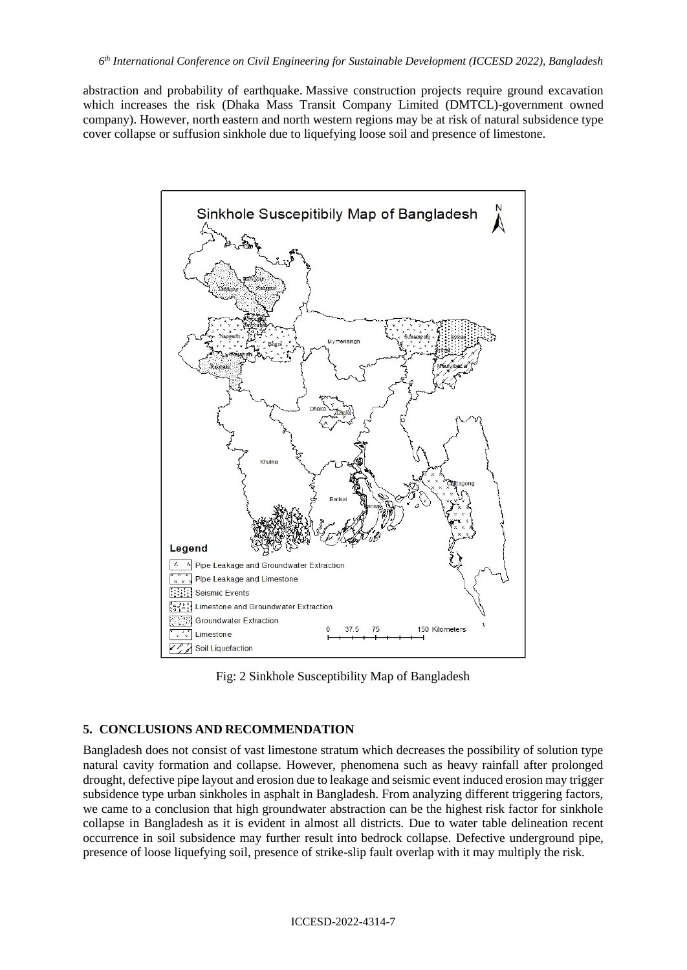abstraction and probability of earthquake. Massive construction projects require ground excavation which increases the risk (Dhaka Mass Transit Company Limited (DMTCL)-government owned company). However, north eastern and north western regions may be at risk of natural subsidence type cover collapse or suffusion sinkhole due to liquefying loose soil and presence of limestone.



Fig: 2 Sinkhole Susceptibility Map of Bangladesh

### **5. CONCLUSIONS AND RECOMMENDATION**

Bangladesh does not consist of vast limestone stratum which decreases the possibility of solution type natural cavity formation and collapse. However, phenomena such as heavy rainfall after prolonged drought, defective pipe layout and erosion due to leakage and seismic event induced erosion may trigger subsidence type urban sinkholes in asphalt in Bangladesh. From analyzing different triggering factors, we came to a conclusion that high groundwater abstraction can be the highest risk factor for sinkhole collapse in Bangladesh as it is evident in almost all districts. Due to water table delineation recent occurrence in soil subsidence may further result into bedrock collapse. Defective underground pipe, presence of loose liquefying soil, presence of strike-slip fault overlap with it may multiply the risk.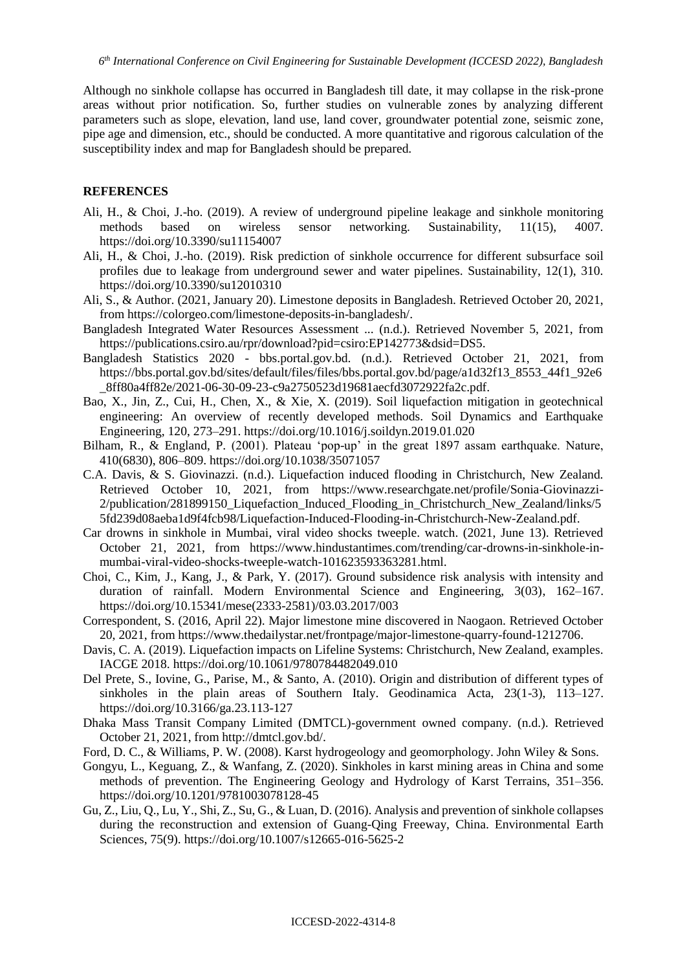Although no sinkhole collapse has occurred in Bangladesh till date, it may collapse in the risk-prone areas without prior notification. So, further studies on vulnerable zones by analyzing different parameters such as slope, elevation, land use, land cover, groundwater potential zone, seismic zone, pipe age and dimension, etc., should be conducted. A more quantitative and rigorous calculation of the susceptibility index and map for Bangladesh should be prepared.

#### **REFERENCES**

- Ali, H., & Choi, J.-ho. (2019). A review of underground pipeline leakage and sinkhole monitoring methods based on wireless sensor networking. Sustainability, 11(15), 4007. https://doi.org/10.3390/su11154007
- Ali, H., & Choi, J.-ho. (2019). Risk prediction of sinkhole occurrence for different subsurface soil profiles due to leakage from underground sewer and water pipelines. Sustainability, 12(1), 310. https://doi.org/10.3390/su12010310
- Ali, S., & Author. (2021, January 20). Limestone deposits in Bangladesh. Retrieved October 20, 2021, from https://colorgeo.com/limestone-deposits-in-bangladesh/.
- Bangladesh Integrated Water Resources Assessment ... (n.d.). Retrieved November 5, 2021, from https://publications.csiro.au/rpr/download?pid=csiro:EP142773&dsid=DS5.
- Bangladesh Statistics 2020 bbs.portal.gov.bd. (n.d.). Retrieved October 21, 2021, from https://bbs.portal.gov.bd/sites/default/files/files/bbs.portal.gov.bd/page/a1d32f13\_8553\_44f1\_92e6 \_8ff80a4ff82e/2021-06-30-09-23-c9a2750523d19681aecfd3072922fa2c.pdf.
- Bao, X., Jin, Z., Cui, H., Chen, X., & Xie, X. (2019). Soil liquefaction mitigation in geotechnical engineering: An overview of recently developed methods. Soil Dynamics and Earthquake Engineering, 120, 273–291. https://doi.org/10.1016/j.soildyn.2019.01.020
- Bilham, R., & England, P. (2001). Plateau 'pop-up' in the great 1897 assam earthquake. Nature, 410(6830), 806–809. https://doi.org/10.1038/35071057
- C.A. Davis, & S. Giovinazzi. (n.d.). Liquefaction induced flooding in Christchurch, New Zealand. Retrieved October 10, 2021, from https://www.researchgate.net/profile/Sonia-Giovinazzi-2/publication/281899150 Liquefaction Induced Flooding in Christchurch New Zealand/links/5 5fd239d08aeba1d9f4fcb98/Liquefaction-Induced-Flooding-in-Christchurch-New-Zealand.pdf.
- Car drowns in sinkhole in Mumbai, viral video shocks tweeple. watch. (2021, June 13). Retrieved October 21, 2021, from https://www.hindustantimes.com/trending/car-drowns-in-sinkhole-inmumbai-viral-video-shocks-tweeple-watch-101623593363281.html.
- Choi, C., Kim, J., Kang, J., & Park, Y. (2017). Ground subsidence risk analysis with intensity and duration of rainfall. Modern Environmental Science and Engineering, 3(03), 162–167. https://doi.org/10.15341/mese(2333-2581)/03.03.2017/003
- Correspondent, S. (2016, April 22). Major limestone mine discovered in Naogaon. Retrieved October 20, 2021, from https://www.thedailystar.net/frontpage/major-limestone-quarry-found-1212706.
- Davis, C. A. (2019). Liquefaction impacts on Lifeline Systems: Christchurch, New Zealand, examples. IACGE 2018. https://doi.org/10.1061/9780784482049.010
- Del Prete, S., Iovine, G., Parise, M., & Santo, A. (2010). Origin and distribution of different types of sinkholes in the plain areas of Southern Italy. Geodinamica Acta, 23(1-3), 113–127. https://doi.org/10.3166/ga.23.113-127
- Dhaka Mass Transit Company Limited (DMTCL)-government owned company. (n.d.). Retrieved October 21, 2021, from http://dmtcl.gov.bd/.
- Ford, D. C., & Williams, P. W. (2008). Karst hydrogeology and geomorphology. John Wiley & Sons.
- Gongyu, L., Keguang, Z., & Wanfang, Z. (2020). Sinkholes in karst mining areas in China and some methods of prevention. The Engineering Geology and Hydrology of Karst Terrains, 351–356. https://doi.org/10.1201/9781003078128-45
- Gu, Z., Liu, Q., Lu, Y., Shi, Z., Su, G., & Luan, D. (2016). Analysis and prevention of sinkhole collapses during the reconstruction and extension of Guang-Qing Freeway, China. Environmental Earth Sciences, 75(9). https://doi.org/10.1007/s12665-016-5625-2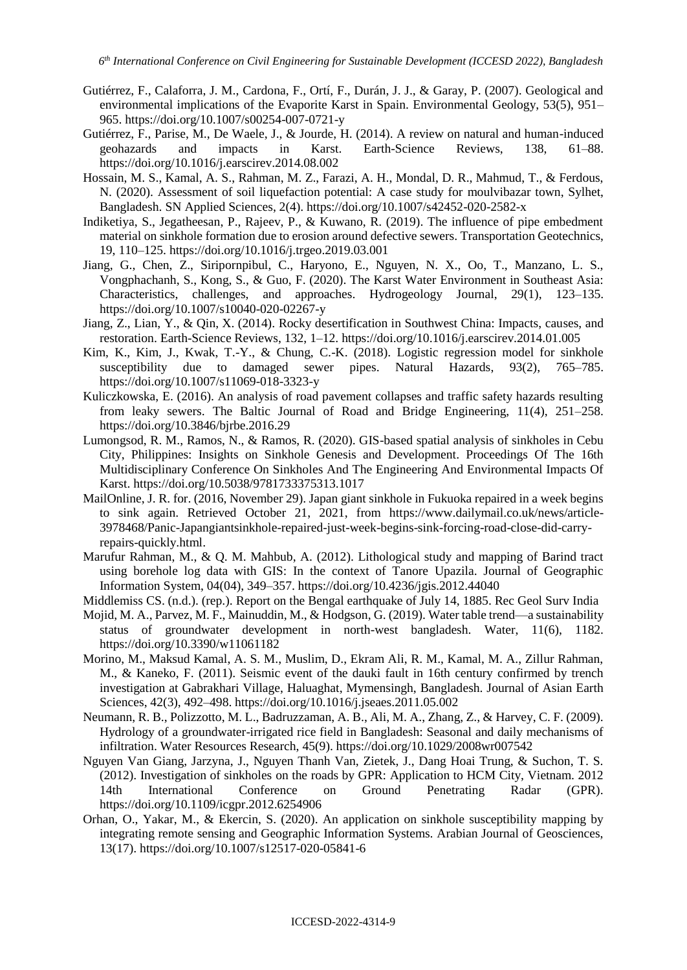- Gutiérrez, F., Calaforra, J. M., Cardona, F., Ortí, F., Durán, J. J., & Garay, P. (2007). Geological and environmental implications of the Evaporite Karst in Spain. Environmental Geology, 53(5), 951– 965. https://doi.org/10.1007/s00254-007-0721-y
- Gutiérrez, F., Parise, M., De Waele, J., & Jourde, H. (2014). A review on natural and human-induced geohazards and impacts in Karst. Earth-Science Reviews, 138, 61–88. https://doi.org/10.1016/j.earscirev.2014.08.002
- Hossain, M. S., Kamal, A. S., Rahman, M. Z., Farazi, A. H., Mondal, D. R., Mahmud, T., & Ferdous, N. (2020). Assessment of soil liquefaction potential: A case study for moulvibazar town, Sylhet, Bangladesh. SN Applied Sciences, 2(4). https://doi.org/10.1007/s42452-020-2582-x
- Indiketiya, S., Jegatheesan, P., Rajeev, P., & Kuwano, R. (2019). The influence of pipe embedment material on sinkhole formation due to erosion around defective sewers. Transportation Geotechnics, 19, 110–125. https://doi.org/10.1016/j.trgeo.2019.03.001
- Jiang, G., Chen, Z., Siripornpibul, C., Haryono, E., Nguyen, N. X., Oo, T., Manzano, L. S., Vongphachanh, S., Kong, S., & Guo, F. (2020). The Karst Water Environment in Southeast Asia: Characteristics, challenges, and approaches. Hydrogeology Journal, 29(1), 123–135. https://doi.org/10.1007/s10040-020-02267-y
- Jiang, Z., Lian, Y., & Qin, X. (2014). Rocky desertification in Southwest China: Impacts, causes, and restoration. Earth-Science Reviews, 132, 1–12. https://doi.org/10.1016/j.earscirev.2014.01.005
- Kim, K., Kim, J., Kwak, T.-Y., & Chung, C.-K. (2018). Logistic regression model for sinkhole susceptibility due to damaged sewer pipes. Natural Hazards, 93(2), 765–785. https://doi.org/10.1007/s11069-018-3323-y
- Kuliczkowska, E. (2016). An analysis of road pavement collapses and traffic safety hazards resulting from leaky sewers. The Baltic Journal of Road and Bridge Engineering, 11(4), 251–258. https://doi.org/10.3846/bjrbe.2016.29
- Lumongsod, R. M., Ramos, N., & Ramos, R. (2020). GIS-based spatial analysis of sinkholes in Cebu City, Philippines: Insights on Sinkhole Genesis and Development. Proceedings Of The 16th Multidisciplinary Conference On Sinkholes And The Engineering And Environmental Impacts Of Karst. https://doi.org/10.5038/9781733375313.1017
- MailOnline, J. R. for. (2016, November 29). Japan giant sinkhole in Fukuoka repaired in a week begins to sink again. Retrieved October 21, 2021, from https://www.dailymail.co.uk/news/article-3978468/Panic-Japangiantsinkhole-repaired-just-week-begins-sink-forcing-road-close-did-carryrepairs-quickly.html.
- Marufur Rahman, M., & Q. M. Mahbub, A. (2012). Lithological study and mapping of Barind tract using borehole log data with GIS: In the context of Tanore Upazila. Journal of Geographic Information System, 04(04), 349–357. https://doi.org/10.4236/jgis.2012.44040
- Middlemiss CS. (n.d.). (rep.). Report on the Bengal earthquake of July 14, 1885. Rec Geol Surv India
- Mojid, M. A., Parvez, M. F., Mainuddin, M., & Hodgson, G. (2019). Water table trend—a sustainability status of groundwater development in north-west bangladesh. Water, 11(6), 1182. https://doi.org/10.3390/w11061182
- Morino, M., Maksud Kamal, A. S. M., Muslim, D., Ekram Ali, R. M., Kamal, M. A., Zillur Rahman, M., & Kaneko, F. (2011). Seismic event of the dauki fault in 16th century confirmed by trench investigation at Gabrakhari Village, Haluaghat, Mymensingh, Bangladesh. Journal of Asian Earth Sciences, 42(3), 492–498. https://doi.org/10.1016/j.jseaes.2011.05.002
- Neumann, R. B., Polizzotto, M. L., Badruzzaman, A. B., Ali, M. A., Zhang, Z., & Harvey, C. F. (2009). Hydrology of a groundwater-irrigated rice field in Bangladesh: Seasonal and daily mechanisms of infiltration. Water Resources Research, 45(9). https://doi.org/10.1029/2008wr007542
- Nguyen Van Giang, Jarzyna, J., Nguyen Thanh Van, Zietek, J., Dang Hoai Trung, & Suchon, T. S. (2012). Investigation of sinkholes on the roads by GPR: Application to HCM City, Vietnam. 2012 14th International Conference on Ground Penetrating Radar (GPR). https://doi.org/10.1109/icgpr.2012.6254906
- Orhan, O., Yakar, M., & Ekercin, S. (2020). An application on sinkhole susceptibility mapping by integrating remote sensing and Geographic Information Systems. Arabian Journal of Geosciences, 13(17). https://doi.org/10.1007/s12517-020-05841-6